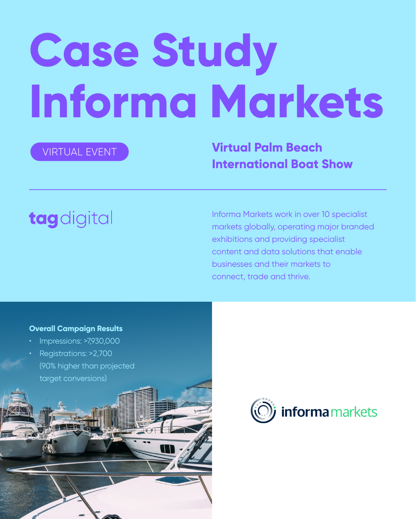# **Case Study Informa Markets**

Informa Markets work in over 10 specialist markets globally, operating major branded exhibitions and providing specialist content and data solutions that enable businesses and their markets to connect, trade and thrive.

**Virtual Palm Beach International Boat Show**

# tagdigital



#### **Overall Campaign Results**

- Impressions: >7,930,000
- Registrations: >2,700
	- (90% higher than projected



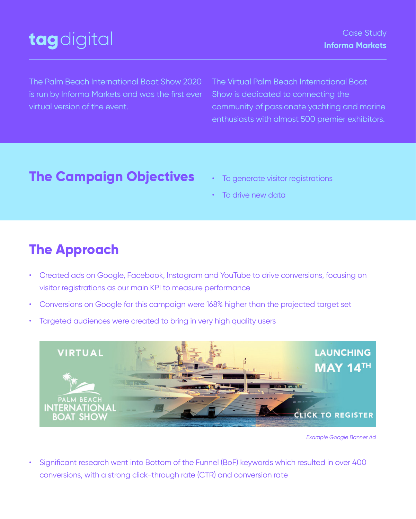The Palm Beach International Boat Show 2020 is run by Informa Markets and was the first ever virtual version of the event.

The Virtual Palm Beach International Boat Show is dedicated to connecting the community of passionate yachting and marine enthusiasts with almost 500 premier exhibitors.

#### Case Study **Informa Markets**

## tagdigital

- Created ads on Google, Facebook, Instagram and YouTube to drive conversions, focusing on visitor registrations as our main KPI to measure performance
- Conversions on Google for this campaign were 168% higher than the projected target set
- Targeted audiences were created to bring in very high quality users



• Significant research went into Bottom of the Funnel (BoF) keywords which resulted in over 400 conversions, with a strong click-through rate (CTR) and conversion rate

*Example Google Banner Ad*

## **The Campaign Objectives**

To generate visitor registrations

• To drive new data

## **The Approach**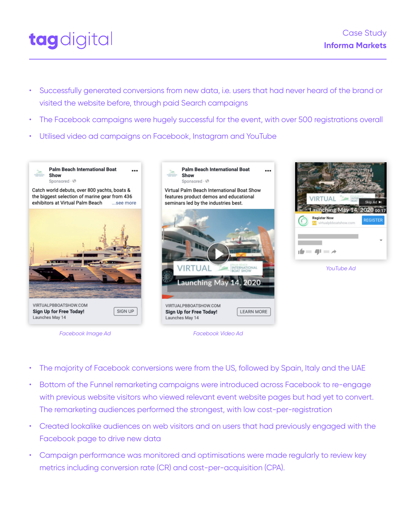



- Successfully generated conversions from new data, i.e. users that had never heard of the brand or visited the website before, through paid Search campaigns
- The Facebook campaigns were hugely successful for the event, with over 500 registrations overall
- Utilised video ad campaigns on Facebook, Instagram and YouTube

 $......$ 





 $\bullet\bullet\bullet$ 



Catch world debuts, over 800 yachts, boats & the biggest selection of marine gear from 436 exhibitors at Virtual Palm Beach ...see more



VIRTUALPBBOATSHOW.COM **Sign Up for Free Today!** Launches May 14

SIGN UP

- The majority of Facebook conversions were from the US, followed by Spain, Italy and the UAE
- Bottom of the Funnel remarketing campaigns were introduced across Facebook to re-engage with previous website visitors who viewed relevant event website pages but had yet to convert. The remarketing audiences performed the strongest, with low cost-per-registration
- Created lookalike audiences on web visitors and on users that had previously engaged with the Facebook page to drive new data
- Campaign performance was monitored and optimisations were made regularly to review key metrics including conversion rate (CR) and cost-per-acquisition (CPA).

*Facebook Video Ad*

*YouTube Ad*

*Facebook Image Ad*

Virtual Palm Beach International Boat Show features product demos and educational seminars led by the industries best.